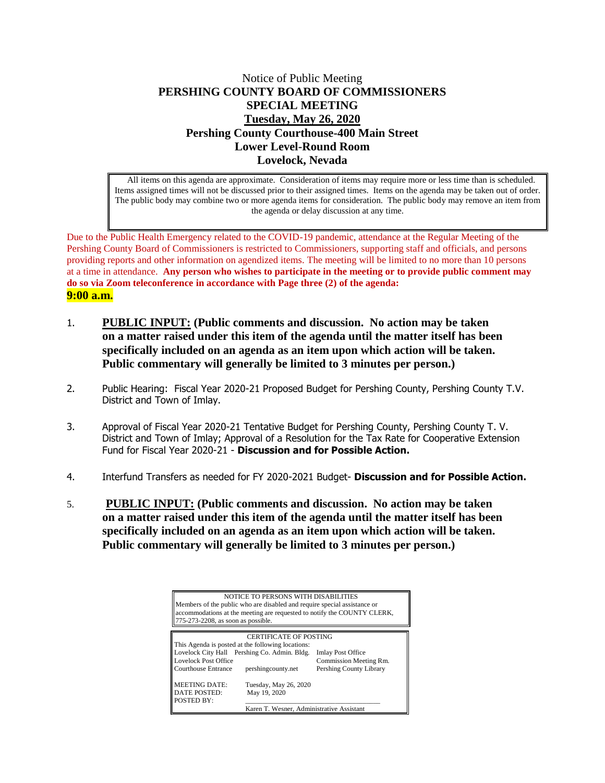## Notice of Public Meeting **PERSHING COUNTY BOARD OF COMMISSIONERS SPECIAL MEETING Tuesday, May 26, 2020 Pershing County Courthouse-400 Main Street Lower Level-Round Room Lovelock, Nevada**

All items on this agenda are approximate. Consideration of items may require more or less time than is scheduled. Items assigned times will not be discussed prior to their assigned times. Items on the agenda may be taken out of order. The public body may combine two or more agenda items for consideration. The public body may remove an item from the agenda or delay discussion at any time.

Due to the Public Health Emergency related to the COVID-19 pandemic, attendance at the Regular Meeting of the Pershing County Board of Commissioners is restricted to Commissioners, supporting staff and officials, and persons providing reports and other information on agendized items. The meeting will be limited to no more than 10 persons at a time in attendance. **Any person who wishes to participate in the meeting or to provide public comment may do so via Zoom teleconference in accordance with Page three (2) of the agenda: 9:00 a.m.**

- 1. **PUBLIC INPUT: (Public comments and discussion. No action may be taken on a matter raised under this item of the agenda until the matter itself has been specifically included on an agenda as an item upon which action will be taken. Public commentary will generally be limited to 3 minutes per person.)**
- 2. Public Hearing: Fiscal Year 2020-21 Proposed Budget for Pershing County, Pershing County T.V. District and Town of Imlay.
- 3. Approval of Fiscal Year 2020-21 Tentative Budget for Pershing County, Pershing County T. V. District and Town of Imlay; Approval of a Resolution for the Tax Rate for Cooperative Extension Fund for Fiscal Year 2020-21 - **Discussion and for Possible Action.**
- 4. Interfund Transfers as needed for FY 2020-2021 Budget- **Discussion and for Possible Action.**
- 5. **PUBLIC INPUT: (Public comments and discussion. No action may be taken on a matter raised under this item of the agenda until the matter itself has been specifically included on an agenda as an item upon which action will be taken. Public commentary will generally be limited to 3 minutes per person.)**

|                                    | NOTICE TO PERSONS WITH DISABILITIES                                      |                                                                         |
|------------------------------------|--------------------------------------------------------------------------|-------------------------------------------------------------------------|
|                                    | Members of the public who are disabled and require special assistance or |                                                                         |
|                                    |                                                                          | accommodations at the meeting are requested to notify the COUNTY CLERK, |
| 775-273-2208, as soon as possible. |                                                                          |                                                                         |
|                                    |                                                                          |                                                                         |
|                                    | <b>CERTIFICATE OF POSTING</b>                                            |                                                                         |
|                                    | This Agenda is posted at the following locations:                        |                                                                         |
|                                    | Lovelock City Hall Pershing Co. Admin. Bldg.                             | <b>Imlay Post Office</b>                                                |
| Lovelock Post Office               |                                                                          | Commission Meeting Rm.                                                  |
| <b>Courthouse Entrance</b>         | pershingcounty.net                                                       | Pershing County Library                                                 |
| <b>MEETING DATE:</b>               | Tuesday, May 26, 2020                                                    |                                                                         |
| DATE POSTED:                       | May 19, 2020                                                             |                                                                         |
| POSTED BY:                         |                                                                          |                                                                         |
|                                    | Karen T. Wesner, Administrative Assistant                                |                                                                         |